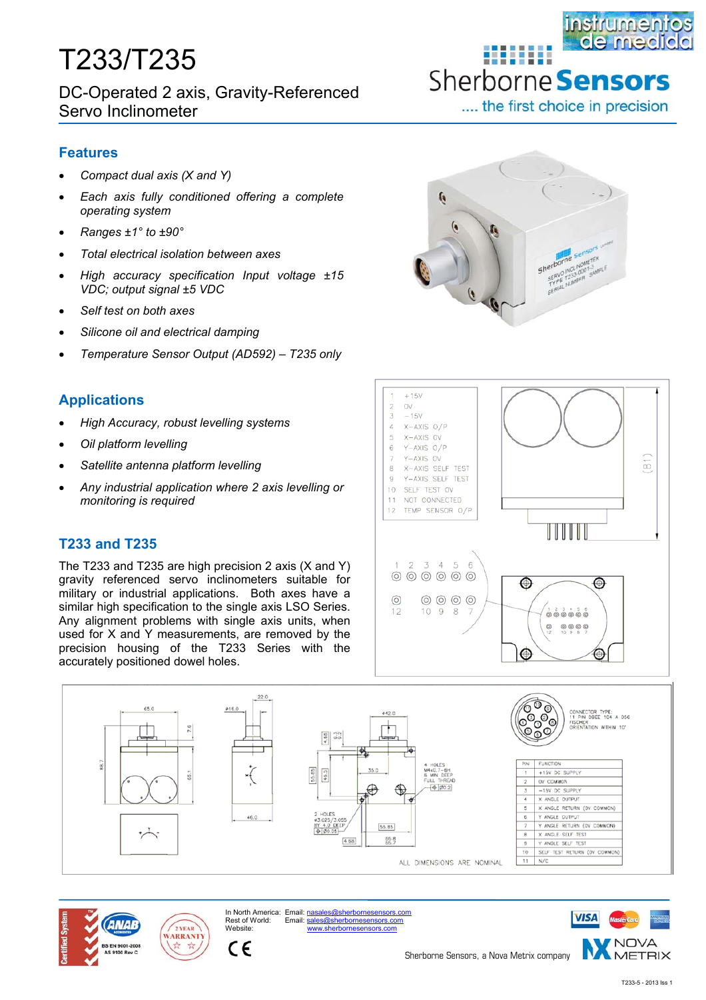# T233/T235

DC-Operated 2 axis, Gravity-Referenced Servo Inclinometer

### **Features**

- *Compact dual axis (X and Y)*
- *Each axis fully conditioned offering a complete operating system*
- *Ranges ±1° to ±90°*
- *Total electrical isolation between axes*
- *High accuracy specification Input voltage ±15 VDC; output signal ±5 VDC*
- *Self test on both axes*
- *Silicone oil and electrical damping*
- *Temperature Sensor Output (AD592) T235 only*

## **Applications**

- *High Accuracy, robust levelling systems*
- *Oil platform levelling*
- *Satellite antenna platform levelling*
- *Any industrial application where 2 axis levelling or monitoring is required*

## **T233 and T235**

The T233 and T235 are high precision 2 axis (X and Y) gravity referenced servo inclinometers suitable for military or industrial applications. Both axes have a similar high specification to the single axis LSO Series. Any alignment problems with single axis units, when used for X and Y measurements, are removed by the precision housing of the T233 Series with the accurately positioned dowel holes.



**BUILDE** 

Sherborne **Sensors** 

.... the first choice in precision

instrumentos de medi









In North America: Email: nasales@sherbornesensors.com<br>Rest of World: Email: sales@sherbornesensors.com sales@sherbornesensors.com



Sherborne Sensors, a Nova Metrix company